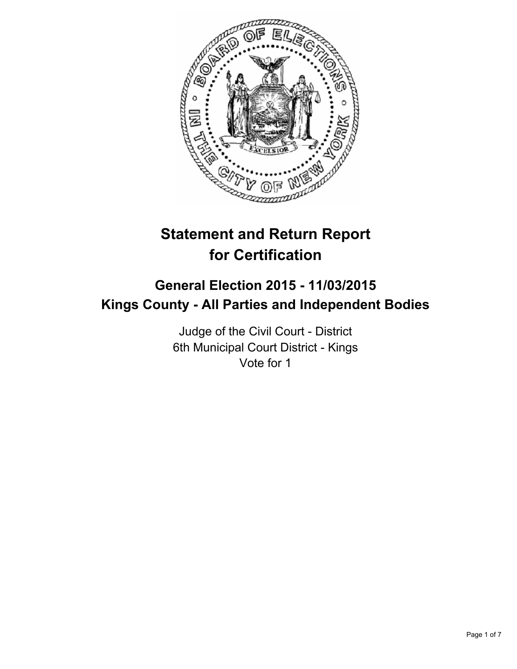

# **Statement and Return Report for Certification**

## **General Election 2015 - 11/03/2015 Kings County - All Parties and Independent Bodies**

Judge of the Civil Court - District 6th Municipal Court District - Kings Vote for 1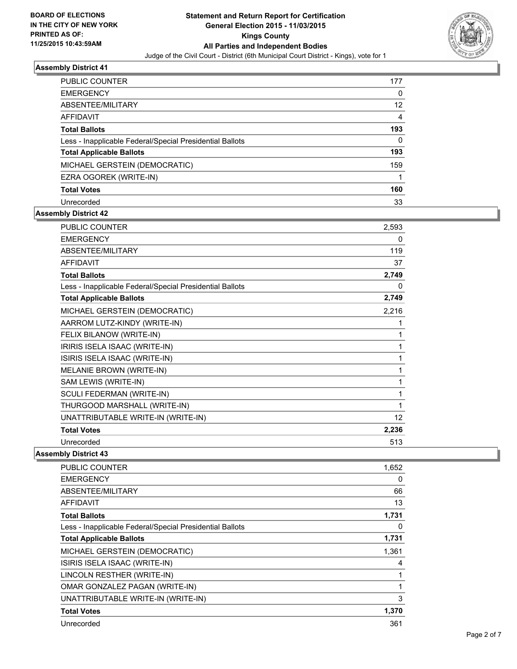

| <b>PUBLIC COUNTER</b>                                    | 177 |
|----------------------------------------------------------|-----|
| <b>EMERGENCY</b>                                         | 0   |
| ABSENTEE/MILITARY                                        | 12  |
| AFFIDAVIT                                                | 4   |
| <b>Total Ballots</b>                                     | 193 |
| Less - Inapplicable Federal/Special Presidential Ballots | 0   |
| <b>Total Applicable Ballots</b>                          | 193 |
| MICHAEL GERSTEIN (DEMOCRATIC)                            | 159 |
| EZRA OGOREK (WRITE-IN)                                   |     |
| <b>Total Votes</b>                                       | 160 |
| Unrecorded                                               | 33  |

#### **Assembly District 42**

| <b>PUBLIC COUNTER</b>                                    | 2,593           |
|----------------------------------------------------------|-----------------|
| <b>EMERGENCY</b>                                         | 0               |
| ABSENTEE/MILITARY                                        | 119             |
| <b>AFFIDAVIT</b>                                         | 37              |
| <b>Total Ballots</b>                                     | 2,749           |
| Less - Inapplicable Federal/Special Presidential Ballots | 0               |
| <b>Total Applicable Ballots</b>                          | 2,749           |
| MICHAEL GERSTEIN (DEMOCRATIC)                            | 2,216           |
| AARROM LUTZ-KINDY (WRITE-IN)                             | 1               |
| FELIX BILANOW (WRITE-IN)                                 | 1               |
| IRIRIS ISELA ISAAC (WRITE-IN)                            | 1               |
| ISIRIS ISELA ISAAC (WRITE-IN)                            | 1               |
| MELANIE BROWN (WRITE-IN)                                 | 1               |
| SAM LEWIS (WRITE-IN)                                     | 1               |
| SCULI FEDERMAN (WRITE-IN)                                | 1               |
| THURGOOD MARSHALL (WRITE-IN)                             | 1               |
| UNATTRIBUTABLE WRITE-IN (WRITE-IN)                       | 12 <sup>°</sup> |
| <b>Total Votes</b>                                       | 2,236           |
| Unrecorded                                               | 513             |

| <b>PUBLIC COUNTER</b>                                    | 1,652 |
|----------------------------------------------------------|-------|
| <b>EMERGENCY</b>                                         | 0     |
| ABSENTEE/MILITARY                                        | 66    |
| AFFIDAVIT                                                | 13    |
| <b>Total Ballots</b>                                     | 1,731 |
| Less - Inapplicable Federal/Special Presidential Ballots | 0     |
| <b>Total Applicable Ballots</b>                          | 1,731 |
| MICHAEL GERSTEIN (DEMOCRATIC)                            | 1,361 |
| ISIRIS ISELA ISAAC (WRITE-IN)                            | 4     |
| LINCOLN RESTHER (WRITE-IN)                               |       |
| OMAR GONZALEZ PAGAN (WRITE-IN)                           | 1     |
| UNATTRIBUTABLE WRITE-IN (WRITE-IN)                       | 3     |
| <b>Total Votes</b>                                       | 1,370 |
| Unrecorded                                               | 361   |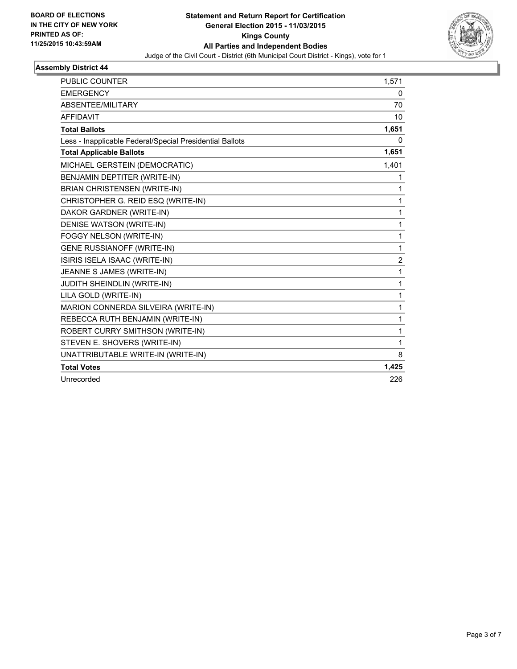

| <b>PUBLIC COUNTER</b>                                    | 1,571          |
|----------------------------------------------------------|----------------|
| <b>EMERGENCY</b>                                         | 0              |
| ABSENTEE/MILITARY                                        | 70             |
| <b>AFFIDAVIT</b>                                         | 10             |
| <b>Total Ballots</b>                                     | 1,651          |
| Less - Inapplicable Federal/Special Presidential Ballots | 0              |
| <b>Total Applicable Ballots</b>                          | 1,651          |
| MICHAEL GERSTEIN (DEMOCRATIC)                            | 1,401          |
| BENJAMIN DEPTITER (WRITE-IN)                             | 1              |
| <b>BRIAN CHRISTENSEN (WRITE-IN)</b>                      | 1              |
| CHRISTOPHER G. REID ESQ (WRITE-IN)                       | 1              |
| DAKOR GARDNER (WRITE-IN)                                 | 1              |
| DENISE WATSON (WRITE-IN)                                 | $\mathbf{1}$   |
| FOGGY NELSON (WRITE-IN)                                  | $\mathbf{1}$   |
| <b>GENE RUSSIANOFF (WRITE-IN)</b>                        | 1              |
| ISIRIS ISELA ISAAC (WRITE-IN)                            | $\overline{2}$ |
| JEANNE S JAMES (WRITE-IN)                                | 1              |
| JUDITH SHEINDLIN (WRITE-IN)                              | $\mathbf{1}$   |
| LILA GOLD (WRITE-IN)                                     | 1              |
| MARION CONNERDA SILVEIRA (WRITE-IN)                      | $\mathbf{1}$   |
| REBECCA RUTH BENJAMIN (WRITE-IN)                         | $\mathbf{1}$   |
| ROBERT CURRY SMITHSON (WRITE-IN)                         | 1              |
| STEVEN E. SHOVERS (WRITE-IN)                             | 1              |
| UNATTRIBUTABLE WRITE-IN (WRITE-IN)                       | 8              |
| <b>Total Votes</b>                                       | 1,425          |
| Unrecorded                                               | 226            |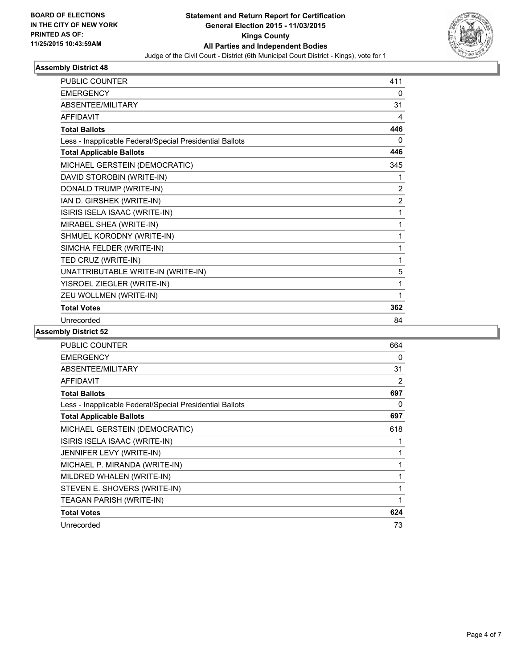

| <b>PUBLIC COUNTER</b>                                    | 411            |
|----------------------------------------------------------|----------------|
| <b>EMERGENCY</b>                                         | 0              |
| ABSENTEE/MILITARY                                        | 31             |
| <b>AFFIDAVIT</b>                                         | 4              |
| <b>Total Ballots</b>                                     | 446            |
| Less - Inapplicable Federal/Special Presidential Ballots | 0              |
| <b>Total Applicable Ballots</b>                          | 446            |
| MICHAEL GERSTEIN (DEMOCRATIC)                            | 345            |
| DAVID STOROBIN (WRITE-IN)                                | 1              |
| DONALD TRUMP (WRITE-IN)                                  | $\overline{2}$ |
| IAN D. GIRSHEK (WRITE-IN)                                | $\overline{2}$ |
| ISIRIS ISELA ISAAC (WRITE-IN)                            | 1              |
| MIRABEL SHEA (WRITE-IN)                                  | 1              |
| SHMUEL KORODNY (WRITE-IN)                                | 1              |
| SIMCHA FELDER (WRITE-IN)                                 | 1              |
| TED CRUZ (WRITE-IN)                                      | 1              |
| UNATTRIBUTABLE WRITE-IN (WRITE-IN)                       | 5              |
| YISROEL ZIEGLER (WRITE-IN)                               | 1              |
| ZEU WOLLMEN (WRITE-IN)                                   | 1              |
| <b>Total Votes</b>                                       | 362            |
| Unrecorded                                               | 84             |

| <b>PUBLIC COUNTER</b>                                    | 664 |
|----------------------------------------------------------|-----|
| <b>EMERGENCY</b>                                         | 0   |
| ABSENTEE/MILITARY                                        | 31  |
| <b>AFFIDAVIT</b>                                         | 2   |
| <b>Total Ballots</b>                                     | 697 |
| Less - Inapplicable Federal/Special Presidential Ballots | 0   |
| <b>Total Applicable Ballots</b>                          | 697 |
| MICHAEL GERSTEIN (DEMOCRATIC)                            | 618 |
| ISIRIS ISELA ISAAC (WRITE-IN)                            | 1   |
| JENNIFER LEVY (WRITE-IN)                                 | 1   |
| MICHAEL P. MIRANDA (WRITE-IN)                            | 1   |
| MILDRED WHALEN (WRITE-IN)                                | 1   |
| STEVEN E. SHOVERS (WRITE-IN)                             | 1   |
| TEAGAN PARISH (WRITE-IN)                                 | 1   |
| <b>Total Votes</b>                                       | 624 |
| Unrecorded                                               | 73  |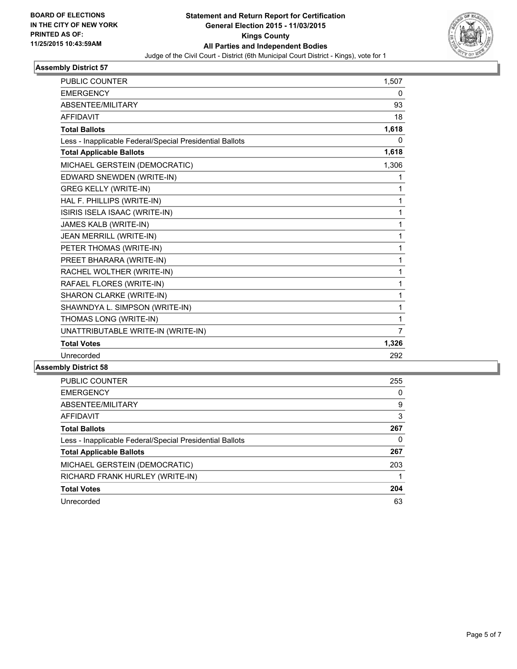

| <b>PUBLIC COUNTER</b>                                    | 1,507          |
|----------------------------------------------------------|----------------|
| <b>EMERGENCY</b>                                         | 0              |
| ABSENTEE/MILITARY                                        | 93             |
| <b>AFFIDAVIT</b>                                         | 18             |
| <b>Total Ballots</b>                                     | 1,618          |
| Less - Inapplicable Federal/Special Presidential Ballots | 0              |
| <b>Total Applicable Ballots</b>                          | 1,618          |
| MICHAEL GERSTEIN (DEMOCRATIC)                            | 1,306          |
| EDWARD SNEWDEN (WRITE-IN)                                | 1              |
| <b>GREG KELLY (WRITE-IN)</b>                             | 1              |
| HAL F. PHILLIPS (WRITE-IN)                               | 1              |
| ISIRIS ISELA ISAAC (WRITE-IN)                            | $\mathbf{1}$   |
| JAMES KALB (WRITE-IN)                                    | $\mathbf{1}$   |
| JEAN MERRILL (WRITE-IN)                                  | $\mathbf{1}$   |
| PETER THOMAS (WRITE-IN)                                  | $\mathbf{1}$   |
| PREET BHARARA (WRITE-IN)                                 | $\mathbf{1}$   |
| RACHEL WOLTHER (WRITE-IN)                                | $\mathbf{1}$   |
| RAFAEL FLORES (WRITE-IN)                                 | $\mathbf 1$    |
| SHARON CLARKE (WRITE-IN)                                 | $\mathbf{1}$   |
| SHAWNDYA L. SIMPSON (WRITE-IN)                           | $\mathbf{1}$   |
| THOMAS LONG (WRITE-IN)                                   | 1              |
| UNATTRIBUTABLE WRITE-IN (WRITE-IN)                       | $\overline{7}$ |
| <b>Total Votes</b>                                       | 1,326          |
| Unrecorded                                               | 292            |

| <b>PUBLIC COUNTER</b>                                    | 255 |
|----------------------------------------------------------|-----|
| <b>EMERGENCY</b>                                         | 0   |
| ABSENTEE/MILITARY                                        | 9   |
| <b>AFFIDAVIT</b>                                         | 3   |
| <b>Total Ballots</b>                                     | 267 |
| Less - Inapplicable Federal/Special Presidential Ballots | 0   |
| <b>Total Applicable Ballots</b>                          | 267 |
| MICHAEL GERSTEIN (DEMOCRATIC)                            | 203 |
| RICHARD FRANK HURLEY (WRITE-IN)                          |     |
| <b>Total Votes</b>                                       | 204 |
| Unrecorded                                               | 63  |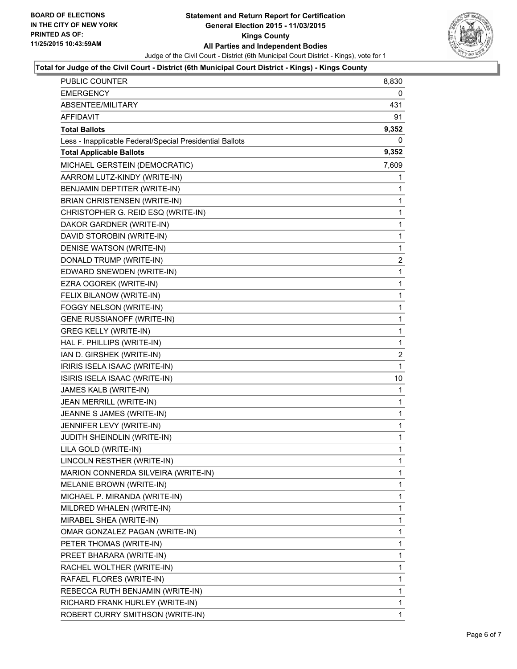

### **Total for Judge of the Civil Court - District (6th Municipal Court District - Kings) - Kings County**

| PUBLIC COUNTER                                           | 8,830       |
|----------------------------------------------------------|-------------|
| <b>EMERGENCY</b>                                         | 0           |
| ABSENTEE/MILITARY                                        | 431         |
| AFFIDAVIT                                                | 91          |
| Total Ballots                                            | 9,352       |
| Less - Inapplicable Federal/Special Presidential Ballots | 0           |
| <b>Total Applicable Ballots</b>                          | 9,352       |
| MICHAEL GERSTEIN (DEMOCRATIC)                            | 7,609       |
| AARROM LUTZ-KINDY (WRITE-IN)                             | 1           |
| BENJAMIN DEPTITER (WRITE-IN)                             | 1           |
| <b>BRIAN CHRISTENSEN (WRITE-IN)</b>                      | 1           |
| CHRISTOPHER G. REID ESQ (WRITE-IN)                       | 1           |
| DAKOR GARDNER (WRITE-IN)                                 | 1           |
| DAVID STOROBIN (WRITE-IN)                                | 1           |
| DENISE WATSON (WRITE-IN)                                 | 1           |
| DONALD TRUMP (WRITE-IN)                                  | 2           |
| EDWARD SNEWDEN (WRITE-IN)                                | 1           |
| EZRA OGOREK (WRITE-IN)                                   | 1           |
| FELIX BILANOW (WRITE-IN)                                 | 1           |
| FOGGY NELSON (WRITE-IN)                                  | 1           |
| GENE RUSSIANOFF (WRITE-IN)                               | 1           |
| <b>GREG KELLY (WRITE-IN)</b>                             | 1           |
| HAL F. PHILLIPS (WRITE-IN)                               | 1           |
| IAN D. GIRSHEK (WRITE-IN)                                | 2           |
| IRIRIS ISELA ISAAC (WRITE-IN)                            | 1           |
| ISIRIS ISELA ISAAC (WRITE-IN)                            | 10          |
| JAMES KALB (WRITE-IN)                                    | 1           |
| JEAN MERRILL (WRITE-IN)                                  | 1           |
| JEANNE S JAMES (WRITE-IN)                                | 1           |
| JENNIFER LEVY (WRITE-IN)                                 | 1           |
| JUDITH SHEINDLIN (WRITE-IN)                              | 1           |
| LILA GOLD (WRITE-IN)                                     | 1           |
| LINCOLN RESTHER (WRITE-IN)                               | 1           |
| MARION CONNERDA SILVEIRA (WRITE-IN)                      | 1           |
| MELANIE BROWN (WRITE-IN)                                 | 1           |
| MICHAEL P. MIRANDA (WRITE-IN)                            | $\mathbf 1$ |
| MILDRED WHALEN (WRITE-IN)                                | 1           |
| MIRABEL SHEA (WRITE-IN)                                  | 1           |
| OMAR GONZALEZ PAGAN (WRITE-IN)                           | 1           |
| PETER THOMAS (WRITE-IN)                                  | 1           |
| PREET BHARARA (WRITE-IN)                                 | 1           |
| RACHEL WOLTHER (WRITE-IN)                                | $\mathbf 1$ |
| RAFAEL FLORES (WRITE-IN)                                 | 1           |
| REBECCA RUTH BENJAMIN (WRITE-IN)                         | 1           |
| RICHARD FRANK HURLEY (WRITE-IN)                          | $\mathbf 1$ |
| ROBERT CURRY SMITHSON (WRITE-IN)                         | 1           |